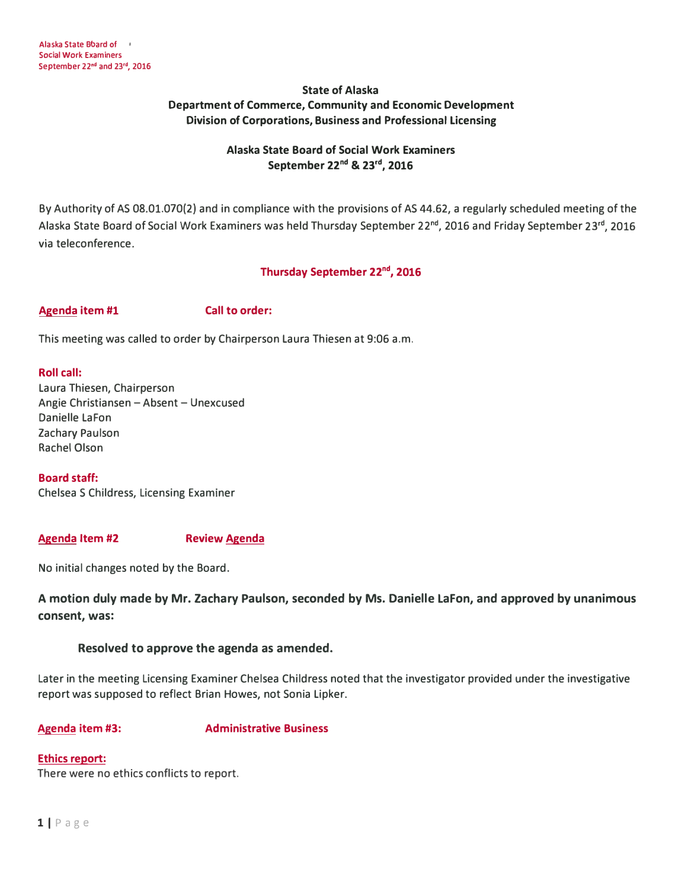# **State of Alaska Department of Commerce, Community and Economic Development Division of Corporations, Business and Professional Licensing**

# **Alaska State Board of Social Work Examiners September 22nd & 23rd , 2016**

By Authority of AS 08.01.070(2) and in compliance with the provisions of AS 44.62, a regularly scheduled meeting of the Alaska State Board of Social Work Examiners was held Thursday September 22**nd ,** 2016 and Friday September 23**rd ,** 2016 via teleconference.

# **Thursday September 22nd , 2016**

## Agenda item #1 Call to order:

This meeting was called to order by Chairperson Laura Thiesen at 9:06 a.m.

### **Roll call:**

Laura Thiesen, Chairperson Angie Christiansen - Absent - Unexcused Danielle LaFon Zachary Paulson Rachel Olson

#### **Board staff:**

Chelsea S Childress, Licensing Examiner

#### **Agenda Item #2 Review Agenda**

No initial changes noted by the Board.

# **A motion duly made by Mr. Zachary Paulson, seconded by Ms. Danielle Lafon, and approved by unanimous consent, was:**

## **Resolved to approve the agenda as amended.**

Later in the meeting Licensing Examiner Chelsea Childress noted that the investigator provided under the investigative report was supposed to reflect Brian Howes, not Sonia Lipker.

## **Agenda item #3:**

# **Administrative Business**

## **Ethics report:**

There were no ethics conflicts to report.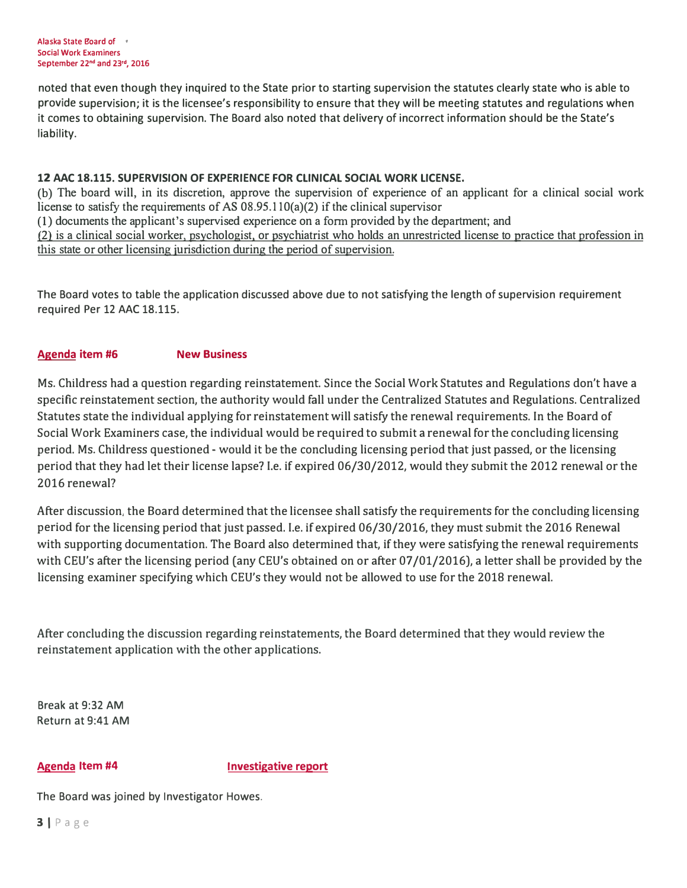noted that even though they inquired to the State prior to starting supervision the statutes clearly state who is able to provide supervision; it is the licensee's responsibility to ensure that they will be meeting statutes and regulations when it comes to obtaining supervision. The Board also noted that delivery of incorrect information should be the State's liability.

## **12 AAC 18.115. SUPERVISION OF EXPERIENCE FOR CLINICAL SOCIAL WORK LICENSE.**

(b) The board will, in its discretion, approve the supervision of experience of an applicant for a clinical social work license to satisfy the requirements of AS  $08.95.110(a)(2)$  if the clinical supervisor **(1)** documents the applicant's supervised experience on a form provided by the department; and (2) is a clinical social worker, psychologist. or psychiatrist who holds an unrestricted license to practice that profession in this state or other licensing jurisdiction during the period of supervision.

The Board votes to table the application discussed above due to not satisfying the length of supervision requirement required Per 12 AAC 18.115.

# **Agenda item #6 New Business**

Ms. Childress had a question regarding reinstatement. Since the Social Work Statutes and Regulations don't have a specific reinstatement section, the authority would fall under the Centralized Statutes and Regulations. Centralized Statutes state the individual applying for reinstatement will satisfy the renewal requirements. In the Board of Social Work Examiners case, the individual would be required to submit a renewal for the concluding licensing period. Ms. Childress questioned - would it be the concluding licensing period that just passed, or the licensing period that they had let their license lapse? I.e. if expired 06/30/2012, would they submit the 2012 renewal or the 2016 renewal?

After discussion, the Board determined that the licensee shall satisfy the requirements for the concluding licensing period for the licensing period that just passed. I.e. if expired 06/30/2016, they must submit the 2016 Renewal with supporting documentation. The Board also determined that, if they were satisfying the renewal requirements with CEU's after the licensing period (any CEU's obtained on or after 07/01/2016), a letter shall be provided by the licensing examiner specifying which CEU's they would not be allowed to use for the 2018 renewal.

After concluding the discussion regarding reinstatements, the Board determined that they would review the reinstatement application with the other applications.

Break at 9:32 AM Return at 9:41 AM

**Agenda Item #4 Investigative report** 

The Board was joined by Investigator Howes.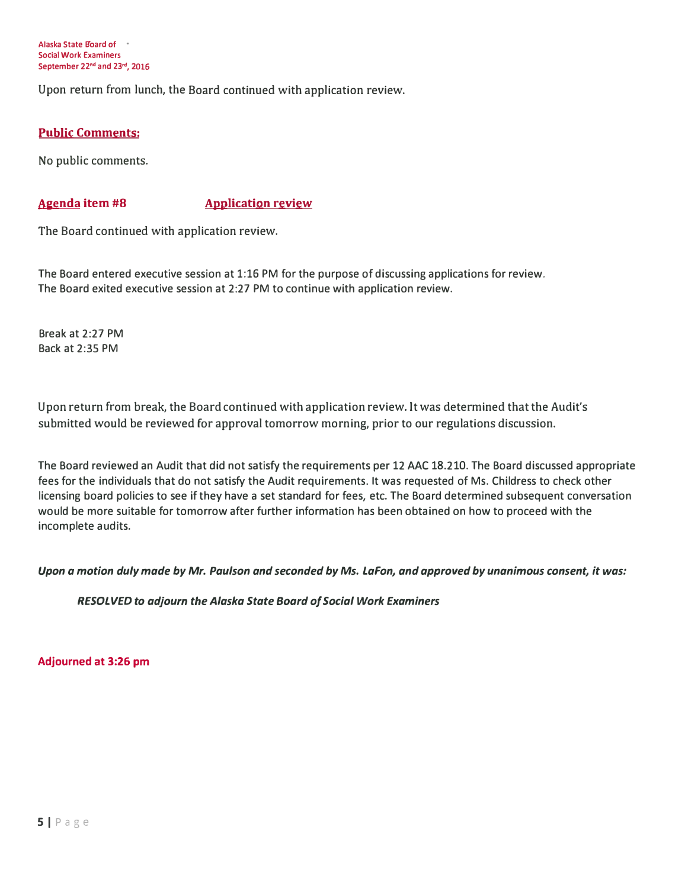**Alaska State B'oard of • Social Work Examiners September 22nd and 23'd, 2016** 

Upon return from lunch, the Board continued with application review.

## **Public Comments:**

No public comments.

## **Agenda item #8 Application review**

The Board continued with application review.

The Board entered executive session at 1:16 PM for the purpose of discussing applications for review. The Board exited executive session at 2:27 PM to continue with application review.

Break at 2:27 PM Back at 2:35 PM

Upon return from break, the Board continued with application review. It was determined that the Audit's submitted would be reviewed for approval tomorrow morning, prior to our regulations discussion.

The Board reviewed an Audit that did not satisfy the requirements per 12 AAC 18.210. The Board discussed appropriate fees for the individuals that do not satisfy the Audit requirements. It was requested of Ms. Childress to check other licensing board policies to see if they have a set standard for fees, etc. The Board determined subsequent conversation would be more suitable for tomorrow after further information has been obtained on how to proceed with the incomplete audits.

## *Upon a motion duly made by Mr. Paulson and seconded by Ms. Lafon, and approved by unanimous consent, it was:*

*RESOLVED to adjourn the Alaska State Board of Social Work Examiners* 

**Adjourned at 3:26 pm**